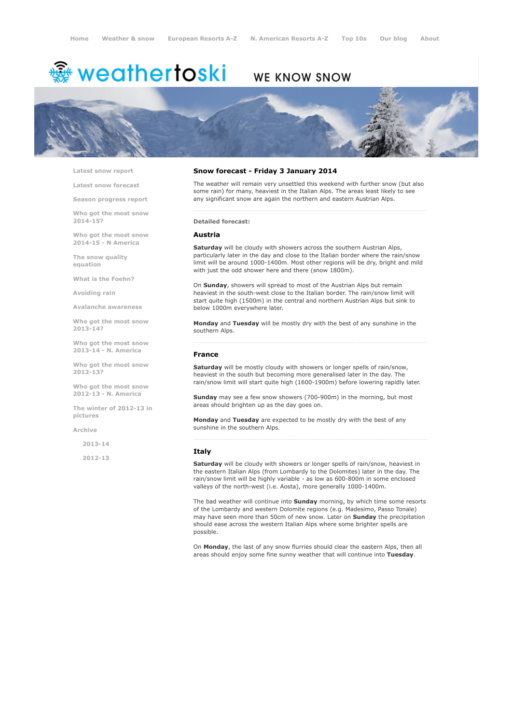# <sup>▒</sup> weathertoski

# WE KNOW SNOW



Latest snow [report](http://www.weathertoski.co.uk/weather-snow/latest-snow-report/)

Latest snow [forecast](http://www.weathertoski.co.uk/weather-snow/latest-snow-forecast/)

Season [progress](http://www.weathertoski.co.uk/weather-snow/season-progress-report/) report

Who got the most snow 2014-15?

Who got the most snow 2014-15 - N America

The snow quality [equation](http://www.weathertoski.co.uk/weather-snow/the-snow-quality-equation/)

What is the [Foehn?](http://www.weathertoski.co.uk/weather-snow/what-is-the-foehn/)

[Avoiding](http://www.weathertoski.co.uk/weather-snow/avoiding-rain/) rain

Avalanche [awareness](http://www.weathertoski.co.uk/weather-snow/avalanche-awareness/)

Who got the most snow 2013-14?

Who got the most snow 2013-14 - N. America

Who got the most snow 2012-13?

Who got the most snow 2012-13 - N. America

The winter of 2012-13 in pictures

[Archive](http://www.weathertoski.co.uk/weather-snow/archive/)

2013-14

2012-13

# Snow forecast - Friday 3 January 2014

The weather will remain very unsettled this weekend with further snow (but also some rain) for many, heaviest in the Italian Alps. The areas least likely to see any significant snow are again the northern and eastern Austrian Alps.

Detailed forecast:

#### Austria

Saturday will be cloudy with showers across the southern Austrian Alps, particularly later in the day and close to the Italian border where the rain/snow limit will be around 1000-1400m. Most other regions will be dry, bright and mild with just the odd shower here and there (snow 1800m).

On Sunday, showers will spread to most of the Austrian Alps but remain heaviest in the south-west close to the Italian border. The rain/snow limit will start quite high (1500m) in the central and northern Austrian Alps but sink to below 1000m everywhere later.

Monday and Tuesday will be mostly dry with the best of any sunshine in the southern Alps.

#### France

Saturday will be mostly cloudy with showers or longer spells of rain/snow, heaviest in the south but becoming more generalised later in the day. The rain/snow limit will start quite high (1600-1900m) before lowering rapidly later.

Sunday may see a few snow showers (700-900m) in the morning, but most areas should brighten up as the day goes on.

Monday and Tuesday are expected to be mostly dry with the best of any sunshine in the southern Alps.

### Italy

Saturday will be cloudy with showers or longer spells of rain/snow, heaviest in the eastern Italian Alps (from Lombardy to the Dolomites) later in the day. The rain/snow limit will be highly variable - as low as 600-800m in some enclosed valleys of the north-west (i.e. Aosta), more generally 1000-1400m.

The bad weather will continue into **Sunday** morning, by which time some resorts of the Lombardy and western Dolomite regions (e.g. Madesimo, Passo Tonale) may have seen more than 50cm of new snow. Later on **Sunday** the precipitation should ease across the western Italian Alps where some brighter spells are possible.

On Monday, the last of any snow flurries should clear the eastern Alps, then all areas should enjoy some fine sunny weather that will continue into Tuesday.